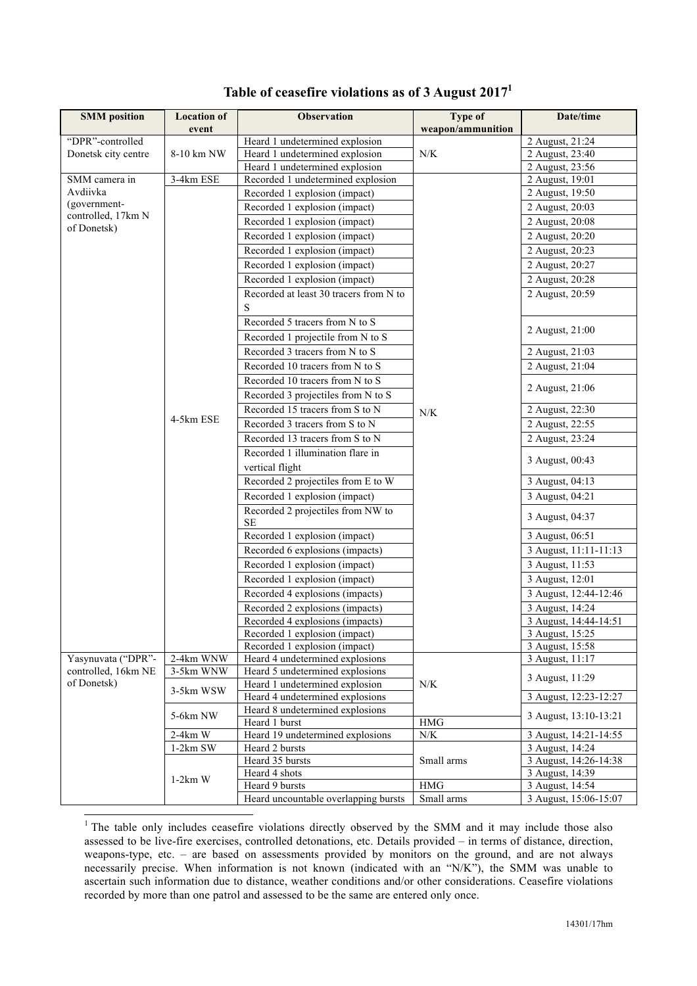| <b>SMM</b> position | <b>Location of</b> | <b>Observation</b>                            | Type of              | Date/time                          |
|---------------------|--------------------|-----------------------------------------------|----------------------|------------------------------------|
|                     | event              |                                               | weapon/ammunition    |                                    |
| "DPR"-controlled    |                    | Heard 1 undetermined explosion                |                      | 2 August, 21:24                    |
| Donetsk city centre | 8-10 km NW         | Heard 1 undetermined explosion                | $N/K$                | 2 August, 23:40                    |
|                     |                    | Heard 1 undetermined explosion                |                      | 2 August, 23:56                    |
| SMM camera in       | 3-4km ESE          | Recorded 1 undetermined explosion             |                      | 2 August, 19:01                    |
| Avdiivka            |                    | Recorded 1 explosion (impact)                 |                      | 2 August, 19:50                    |
| (government-        |                    | Recorded 1 explosion (impact)                 |                      | 2 August, 20:03                    |
| controlled, 17km N  |                    | Recorded 1 explosion (impact)                 |                      | 2 August, 20:08                    |
| of Donetsk)         |                    | Recorded 1 explosion (impact)                 |                      | 2 August, 20:20                    |
|                     |                    | Recorded 1 explosion (impact)                 |                      | 2 August, 20:23                    |
|                     |                    | Recorded 1 explosion (impact)                 |                      | 2 August, 20:27                    |
|                     |                    | Recorded 1 explosion (impact)                 |                      | 2 August, 20:28                    |
|                     |                    | Recorded at least 30 tracers from N to        |                      | 2 August, 20:59                    |
|                     |                    | S                                             |                      |                                    |
|                     |                    | Recorded 5 tracers from N to S                |                      | 2 August, 21:00                    |
|                     |                    | Recorded 1 projectile from N to S             |                      |                                    |
|                     |                    | Recorded 3 tracers from N to S                |                      | 2 August, $21:03$                  |
|                     |                    | Recorded 10 tracers from N to S               |                      | 2 August, 21:04                    |
|                     |                    | Recorded 10 tracers from N to S               |                      |                                    |
|                     |                    | Recorded 3 projectiles from N to S            |                      | 2 August, 21:06                    |
|                     |                    | Recorded 15 tracers from S to N               | $N/K$                | 2 August, 22:30                    |
|                     | 4-5km ESE          | Recorded 3 tracers from S to N                |                      | 2 August, 22:55                    |
|                     |                    | Recorded 13 tracers from S to N               |                      | 2 August, 23:24                    |
|                     |                    | Recorded 1 illumination flare in              |                      |                                    |
|                     |                    | vertical flight                               |                      | 3 August, 00:43                    |
|                     |                    | Recorded 2 projectiles from E to W            |                      | 3 August, 04:13                    |
|                     |                    | Recorded 1 explosion (impact)                 |                      | 3 August, 04:21                    |
|                     |                    |                                               |                      |                                    |
|                     |                    | Recorded 2 projectiles from NW to<br>$\rm SE$ |                      | 3 August, 04:37                    |
|                     |                    | Recorded 1 explosion (impact)                 |                      | 3 August, 06:51                    |
|                     |                    | Recorded 6 explosions (impacts)               |                      | 3 August, 11:11-11:13              |
|                     |                    | Recorded 1 explosion (impact)                 |                      | 3 August, 11:53                    |
|                     |                    | Recorded 1 explosion (impact)                 |                      | 3 August, 12:01                    |
|                     |                    | Recorded 4 explosions (impacts)               |                      | 3 August, 12:44-12:46              |
|                     |                    | Recorded 2 explosions (impacts)               |                      | 3 August, 14:24                    |
|                     |                    | Recorded 4 explosions (impacts)               |                      | 3 August, 14:44-14:51              |
|                     |                    | Recorded 1 explosion (impact)                 |                      | 3 August, 15:25                    |
|                     |                    | Recorded 1 explosion (impact)                 |                      | 3 August, 15:58                    |
| Yasynuvata ("DPR"-  | 2-4km WNW          | Heard 4 undetermined explosions               |                      | 3 August, 11:17                    |
| controlled, 16km NE | 3-5km WNW          | Heard 5 undetermined explosions               |                      | 3 August, 11:29                    |
| of Donetsk)         | 3-5km WSW          | Heard 1 undetermined explosion                | N/K                  |                                    |
|                     |                    | Heard 4 undetermined explosions               |                      | 3 August, 12:23-12:27              |
|                     | 5-6km NW           | Heard 8 undetermined explosions               |                      | 3 August, 13:10-13:21              |
|                     |                    | Heard 1 burst                                 | $\rm HMG$            |                                    |
|                     | $2-4km$ W          | Heard 19 undetermined explosions              | $N/K$                | 3 August, 14:21-14:55              |
|                     | $1-2km$ SW         | Heard 2 bursts                                |                      | 3 August, 14:24                    |
|                     | $1-2km$ W          | Heard 35 bursts                               | Small arms           | 3 August, 14:26-14:38              |
|                     |                    | Heard 4 shots<br>Heard 9 bursts               | $\operatorname{HMG}$ | 3 August, 14:39<br>3 August, 14:54 |
|                     |                    | Heard uncountable overlapping bursts          | Small arms           | 3 August, 15:06-15:07              |

## **Table of ceasefire violations as of 3 August 20171**

<sup>1</sup> The table only includes ceasefire violations directly observed by the SMM and it may include those also assessed to be live-fire exercises, controlled detonations, etc. Details provided – in terms of distance, direction, weapons-type, etc. – are based on assessments provided by monitors on the ground, and are not always necessarily precise. When information is not known (indicated with an "N/K"), the SMM was unable to ascertain such information due to distance, weather conditions and/or other considerations. Ceasefire violations recorded by more than one patrol and assessed to be the same are entered only once.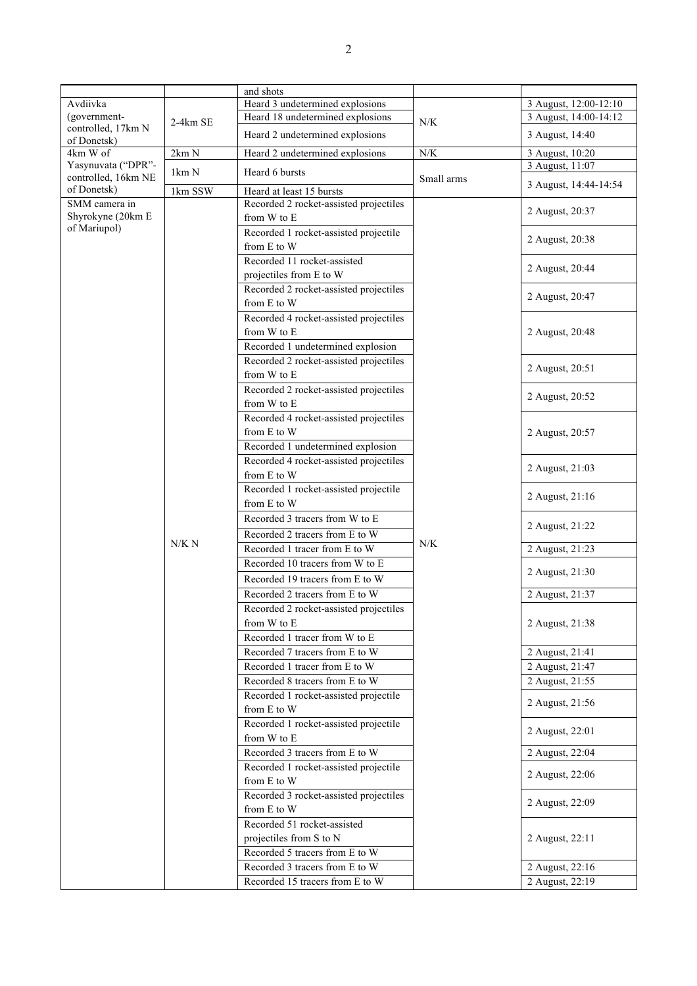|                                   |          | and shots                              |             |                       |
|-----------------------------------|----------|----------------------------------------|-------------|-----------------------|
| Avdiivka                          |          | Heard 3 undetermined explosions        |             | 3 August, 12:00-12:10 |
| (government-                      | 2-4km SE | Heard 18 undetermined explosions       | $N/K$       | 3 August, 14:00-14:12 |
| controlled, 17km N<br>of Donetsk) |          | Heard 2 undetermined explosions        |             | 3 August, 14:40       |
| 4km W of                          | 2km N    | Heard 2 undetermined explosions        | ${\rm N/K}$ | 3 August, 10:20       |
| Yasynuvata ("DPR"-                | 1km N    | Heard 6 bursts                         |             | 3 August, 11:07       |
| controlled, 16km NE               |          |                                        | Small arms  | 3 August, 14:44-14:54 |
| of Donetsk)                       | 1km SSW  | Heard at least 15 bursts               |             |                       |
| SMM camera in                     |          | Recorded 2 rocket-assisted projectiles |             | 2 August, 20:37       |
| Shyrokyne (20km E<br>of Mariupol) |          | from W to E                            |             |                       |
|                                   |          | Recorded 1 rocket-assisted projectile  |             | 2 August, 20:38       |
|                                   |          | from E to W                            |             |                       |
|                                   |          | Recorded 11 rocket-assisted            |             | 2 August, 20:44       |
|                                   |          | projectiles from E to W                |             |                       |
|                                   |          | Recorded 2 rocket-assisted projectiles |             | 2 August, 20:47       |
|                                   |          | from E to W                            |             |                       |
|                                   |          | Recorded 4 rocket-assisted projectiles |             |                       |
|                                   |          | from W to E                            |             | 2 August, 20:48       |
|                                   |          | Recorded 1 undetermined explosion      |             |                       |
|                                   |          | Recorded 2 rocket-assisted projectiles |             | 2 August, 20:51       |
|                                   |          | from W to E                            |             |                       |
|                                   |          | Recorded 2 rocket-assisted projectiles |             | 2 August, 20:52       |
|                                   |          | from W to E                            |             |                       |
|                                   |          | Recorded 4 rocket-assisted projectiles |             |                       |
|                                   |          | from E to W                            |             | 2 August, 20:57       |
|                                   |          | Recorded 1 undetermined explosion      |             |                       |
|                                   |          | Recorded 4 rocket-assisted projectiles |             | 2 August, 21:03       |
|                                   | N/K N    | from E to W                            | N/K         |                       |
|                                   |          | Recorded 1 rocket-assisted projectile  |             | 2 August, 21:16       |
|                                   |          | from E to W                            |             |                       |
|                                   |          | Recorded 3 tracers from W to E         |             | 2 August, 21:22       |
|                                   |          | Recorded 2 tracers from E to W         |             |                       |
|                                   |          | Recorded 1 tracer from E to W          |             | 2 August, 21:23       |
|                                   |          | Recorded 10 tracers from W to E        |             | 2 August, 21:30       |
|                                   |          | Recorded 19 tracers from E to W        |             |                       |
|                                   |          | Recorded 2 tracers from E to W         |             | 2 August, 21:37       |
|                                   |          | Recorded 2 rocket-assisted projectiles |             |                       |
|                                   |          | from W to E                            |             | 2 August, 21:38       |
|                                   |          | Recorded 1 tracer from W to E          |             |                       |
|                                   |          | Recorded 7 tracers from E to W         |             | 2 August, $21:41$     |
|                                   |          | Recorded 1 tracer from E to W          |             | 2 August, 21:47       |
|                                   |          | Recorded 8 tracers from E to W         |             | 2 August, 21:55       |
|                                   |          | Recorded 1 rocket-assisted projectile  |             | 2 August, 21:56       |
|                                   |          | from E to W                            |             |                       |
|                                   |          | Recorded 1 rocket-assisted projectile  |             | 2 August, 22:01       |
|                                   |          | from W to E                            |             |                       |
|                                   |          | Recorded 3 tracers from E to W         |             | 2 August, 22:04       |
|                                   |          | Recorded 1 rocket-assisted projectile  |             | 2 August, 22:06       |
|                                   |          | from E to W                            |             |                       |
|                                   |          | Recorded 3 rocket-assisted projectiles |             | 2 August, 22:09       |
|                                   |          | from E to W                            |             |                       |
|                                   |          | Recorded 51 rocket-assisted            |             |                       |
|                                   |          | projectiles from S to N                |             | 2 August, 22:11       |
|                                   |          | Recorded 5 tracers from E to W         |             |                       |
|                                   |          | Recorded 3 tracers from E to W         |             | 2 August, 22:16       |
|                                   |          | Recorded 15 tracers from E to W        |             | 2 August, 22:19       |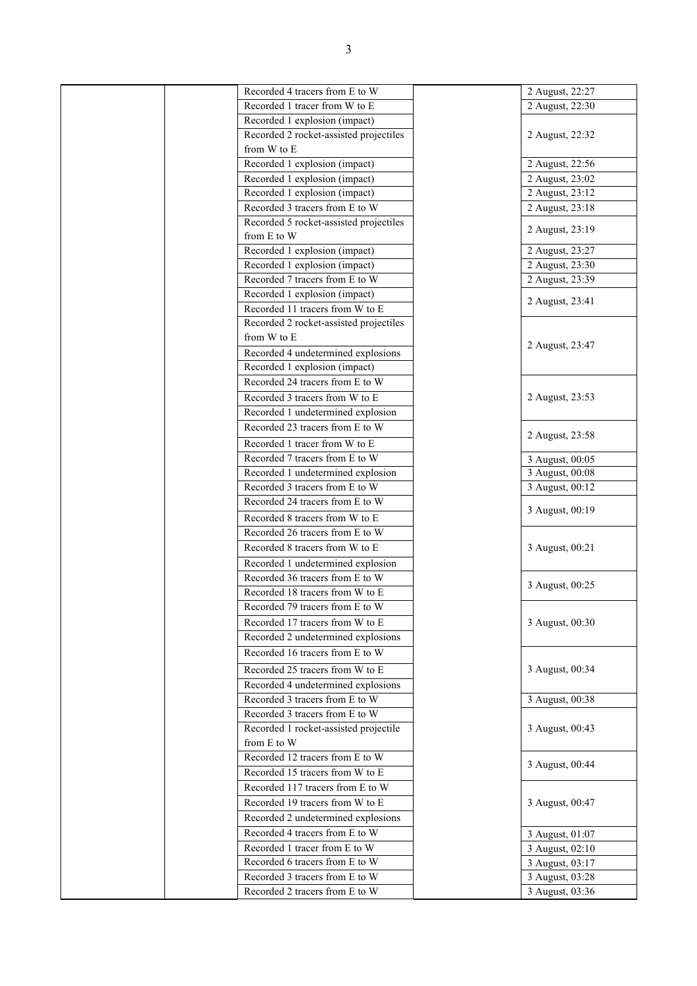| Recorded 4 tracers from E to W         | 2 August, 22:27 |
|----------------------------------------|-----------------|
| Recorded 1 tracer from W to E          | 2 August, 22:30 |
| Recorded 1 explosion (impact)          |                 |
| Recorded 2 rocket-assisted projectiles | 2 August, 22:32 |
| from W to E                            |                 |
| Recorded 1 explosion (impact)          | 2 August, 22:56 |
| Recorded 1 explosion (impact)          | 2 August, 23:02 |
| Recorded 1 explosion (impact)          | 2 August, 23:12 |
| Recorded 3 tracers from E to W         | 2 August, 23:18 |
| Recorded 5 rocket-assisted projectiles |                 |
| from E to W                            | 2 August, 23:19 |
| Recorded 1 explosion (impact)          | 2 August, 23:27 |
| Recorded 1 explosion (impact)          | 2 August, 23:30 |
| Recorded 7 tracers from E to W         | 2 August, 23:39 |
| Recorded 1 explosion (impact)          |                 |
| Recorded 11 tracers from W to E        | 2 August, 23:41 |
| Recorded 2 rocket-assisted projectiles |                 |
| from W to E                            |                 |
| Recorded 4 undetermined explosions     | 2 August, 23:47 |
| Recorded 1 explosion (impact)          |                 |
| Recorded 24 tracers from E to W        |                 |
| Recorded 3 tracers from W to E         | 2 August, 23:53 |
| Recorded 1 undetermined explosion      |                 |
| Recorded 23 tracers from E to W        |                 |
| Recorded 1 tracer from W to E          | 2 August, 23:58 |
| Recorded 7 tracers from E to W         | 3 August, 00:05 |
| Recorded 1 undetermined explosion      | 3 August, 00:08 |
| Recorded 3 tracers from E to W         | 3 August, 00:12 |
| Recorded 24 tracers from E to W        |                 |
| Recorded 8 tracers from W to E         | 3 August, 00:19 |
| Recorded 26 tracers from E to W        |                 |
| Recorded 8 tracers from W to E         | 3 August, 00:21 |
| Recorded 1 undetermined explosion      |                 |
| Recorded 36 tracers from E to W        |                 |
| Recorded 18 tracers from W to E        | 3 August, 00:25 |
| Recorded 79 tracers from E to W        |                 |
| Recorded 17 tracers from W to E        | 3 August, 00:30 |
| Recorded 2 undetermined explosions     |                 |
| Recorded 16 tracers from E to W        |                 |
|                                        |                 |
| Recorded 25 tracers from W to E        | 3 August, 00:34 |
| Recorded 4 undetermined explosions     |                 |
| Recorded 3 tracers from E to W         | 3 August, 00:38 |
| Recorded 3 tracers from E to W         |                 |
| Recorded 1 rocket-assisted projectile  | 3 August, 00:43 |
| from E to W                            |                 |
| Recorded 12 tracers from E to W        | 3 August, 00:44 |
| Recorded 15 tracers from W to E        |                 |
| Recorded 117 tracers from E to W       |                 |
| Recorded 19 tracers from W to E        | 3 August, 00:47 |
| Recorded 2 undetermined explosions     |                 |
| Recorded 4 tracers from E to W         | 3 August, 01:07 |
| Recorded 1 tracer from E to W          | 3 August, 02:10 |
| Recorded 6 tracers from E to W         | 3 August, 03:17 |
| Recorded 3 tracers from E to W         | 3 August, 03:28 |
| Recorded 2 tracers from E to W         | 3 August, 03:36 |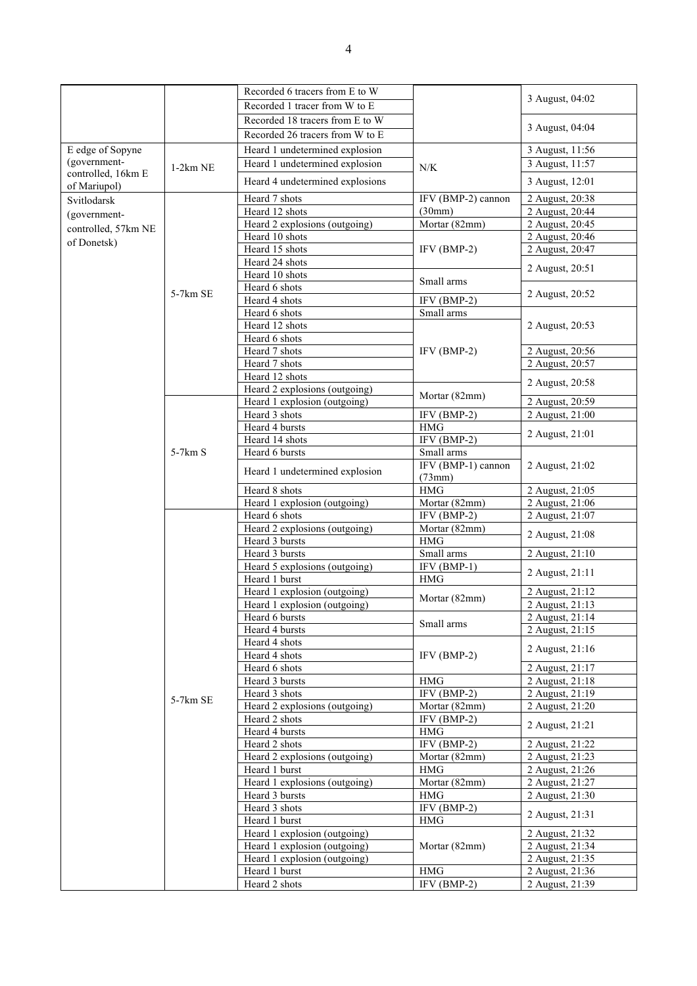|                     |            | Recorded 6 tracers from E to W                 |                                  |                                    |
|---------------------|------------|------------------------------------------------|----------------------------------|------------------------------------|
|                     |            | Recorded 1 tracer from W to E                  |                                  | 3 August, 04:02                    |
|                     |            | Recorded 18 tracers from E to W                |                                  |                                    |
|                     |            | Recorded 26 tracers from W to E                |                                  | 3 August, 04:04                    |
| E edge of Sopyne    |            | Heard 1 undetermined explosion                 |                                  | 3 August, 11:56                    |
| (government-        |            | Heard 1 undetermined explosion                 |                                  | 3 August, 11:57                    |
| controlled, 16km E  | $1-2km$ NE |                                                | N/K                              |                                    |
| of Mariupol)        |            | Heard 4 undetermined explosions                |                                  | 3 August, 12:01                    |
| Svitlodarsk         |            | Heard 7 shots                                  | IFV (BMP-2) cannon               | 2 August, 20:38                    |
| (government-        |            | Heard 12 shots                                 | (30mm)                           | 2 August, 20:44                    |
| controlled, 57km NE |            | Heard 2 explosions (outgoing)                  | Mortar (82mm)                    | 2 August, 20:45                    |
| of Donetsk)         |            | Heard 10 shots                                 |                                  | 2 August, 20:46                    |
|                     |            | Heard 15 shots                                 | $IFV(BMP-2)$                     | 2 August, 20:47                    |
|                     |            | Heard 24 shots<br>Heard 10 shots               |                                  | 2 August, 20:51                    |
|                     |            | Heard 6 shots                                  | Small arms                       |                                    |
|                     | $5-7km$ SE | Heard 4 shots                                  | $IFV(BMP-2)$                     | 2 August, 20:52                    |
|                     |            | Heard 6 shots                                  | Small arms                       |                                    |
|                     |            | Heard 12 shots                                 |                                  | 2 August, 20:53                    |
|                     |            | Heard 6 shots                                  |                                  |                                    |
|                     |            | Heard 7 shots                                  | $IFV(BMP-2)$                     | 2 August, 20:56                    |
|                     |            | Heard 7 shots                                  |                                  | 2 August, 20:57                    |
|                     |            | Heard 12 shots                                 |                                  |                                    |
|                     |            | Heard 2 explosions (outgoing)                  | Mortar (82mm)                    | 2 August, 20:58                    |
|                     |            | Heard 1 explosion (outgoing)                   |                                  | 2 August, 20:59                    |
|                     |            | Heard 3 shots                                  | $IFV(BMP-2)$                     | 2 August, 21:00                    |
|                     |            | Heard 4 bursts                                 | <b>HMG</b>                       | 2 August, 21:01                    |
|                     |            | Heard 14 shots                                 | IFV (BMP-2)                      |                                    |
|                     | $5-7km S$  | Heard 6 bursts                                 | Small arms<br>IFV (BMP-1) cannon | 2 August, 21:02                    |
|                     |            | Heard 1 undetermined explosion                 |                                  |                                    |
|                     |            | Heard 8 shots                                  | (73mm)<br>HMG                    | 2 August, 21:05                    |
|                     |            | Heard 1 explosion (outgoing)                   | Mortar (82mm)                    | 2 August, 21:06                    |
|                     |            | Heard 6 shots                                  | IFV (BMP-2)                      | 2 August, 21:07                    |
|                     |            | Heard 2 explosions (outgoing)                  | Mortar (82mm)                    |                                    |
|                     |            | Heard 3 bursts                                 | HMG                              | 2 August, 21:08                    |
|                     |            | Heard 3 bursts                                 | Small arms                       | 2 August, 21:10                    |
|                     |            | Heard 5 explosions (outgoing)                  | $IFV(BMP-1)$                     |                                    |
|                     |            | Heard 1 burst                                  | <b>HMG</b>                       | 2 August, 21:11                    |
|                     |            | Heard 1 explosion (outgoing)                   | Mortar (82mm)                    | 2 August, 21:12                    |
|                     |            | Heard 1 explosion (outgoing)                   |                                  | 2 August, 21:13                    |
|                     |            | Heard 6 bursts                                 | Small arms                       | 2 August, 21:14                    |
|                     |            | Heard 4 bursts                                 |                                  | 2 August, 21:15                    |
|                     |            | Heard 4 shots                                  | $IFV(BMP-2)$                     | 2 August, 21:16                    |
|                     |            | Heard 4 shots                                  |                                  |                                    |
|                     | 5-7km SE   | Heard 6 shots                                  |                                  | 2 August, 21:17                    |
|                     |            | Heard 3 bursts                                 | $\rm HMG$<br>$IFV(BMP-2)$        | 2 August, 21:18                    |
|                     |            | Heard 3 shots<br>Heard 2 explosions (outgoing) | Mortar (82mm)                    | 2 August, 21:19<br>2 August, 21:20 |
|                     |            | Heard 2 shots                                  | $IFV(BMP-2)$                     |                                    |
|                     |            | Heard 4 bursts                                 | $\rm HMG$                        | 2 August, 21:21                    |
|                     |            | Heard 2 shots                                  | IFV (BMP-2)                      | 2 August, 21:22                    |
|                     |            | Heard 2 explosions (outgoing)                  | Mortar (82mm)                    | 2 August, 21:23                    |
|                     |            | Heard 1 burst                                  | <b>HMG</b>                       | 2 August, 21:26                    |
|                     |            | Heard 1 explosions (outgoing)                  | Mortar (82mm)                    | 2 August, 21:27                    |
|                     |            | Heard 3 bursts                                 | HMG                              | 2 August, 21:30                    |
|                     |            | Heard 3 shots                                  | IFV (BMP-2)                      |                                    |
|                     |            | Heard 1 burst                                  | $\rm HMG$                        | 2 August, 21:31                    |
|                     |            | Heard 1 explosion (outgoing)                   |                                  | 2 August, 21:32                    |
|                     |            | Heard 1 explosion (outgoing)                   | Mortar (82mm)                    | 2 August, 21:34                    |
|                     |            | Heard 1 explosion (outgoing)                   |                                  | 2 August, 21:35                    |
|                     |            | Heard 1 burst                                  | $\rm HMG$                        | 2 August, 21:36                    |
|                     |            | Heard 2 shots                                  | $IFV(BMP-2)$                     | 2 August, 21:39                    |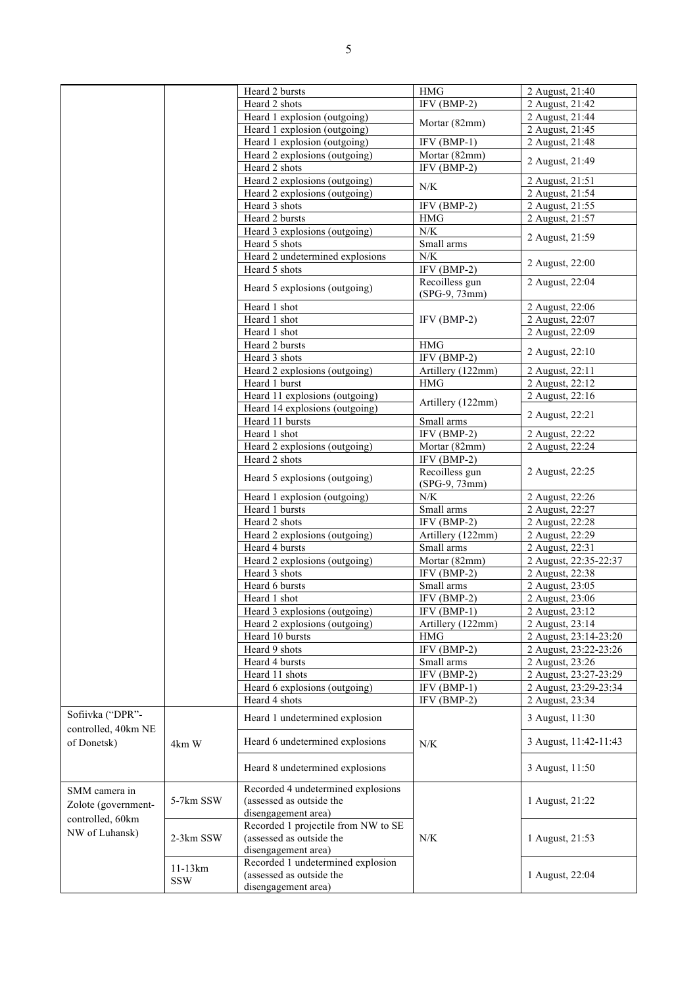|                                    |                         | Heard 2 bursts                                 | <b>HMG</b>                      | 2 August, 21:40       |
|------------------------------------|-------------------------|------------------------------------------------|---------------------------------|-----------------------|
|                                    |                         | Heard 2 shots                                  | IFV (BMP-2)                     | 2 August, 21:42       |
|                                    |                         | Heard 1 explosion (outgoing)                   |                                 | 2 August, 21:44       |
|                                    |                         | Heard 1 explosion (outgoing)                   | Mortar (82mm)                   | 2 August, 21:45       |
|                                    |                         | Heard 1 explosion (outgoing)                   | $IFV(BMP-1)$                    | 2 August, 21:48       |
|                                    |                         |                                                | Mortar (82mm)                   |                       |
|                                    |                         | Heard 2 explosions (outgoing)<br>Heard 2 shots | $IFV(BMP-2)$                    | 2 August, 21:49       |
|                                    |                         | Heard 2 explosions (outgoing)                  |                                 | 2 August, 21:51       |
|                                    |                         | Heard 2 explosions (outgoing)                  | N/K                             | 2 August, 21:54       |
|                                    |                         | Heard 3 shots                                  | IFV (BMP-2)                     | 2 August, 21:55       |
|                                    |                         | Heard 2 bursts                                 | <b>HMG</b>                      | 2 August, 21:57       |
|                                    |                         |                                                |                                 |                       |
|                                    |                         | Heard 3 explosions (outgoing)                  | ${\rm N/K}$                     | 2 August, 21:59       |
|                                    |                         | Heard 5 shots                                  | Small arms                      |                       |
|                                    |                         | Heard 2 undetermined explosions                | N/K                             | 2 August, 22:00       |
|                                    |                         | Heard 5 shots                                  | IFV (BMP-2)                     |                       |
|                                    |                         | Heard 5 explosions (outgoing)                  | Recoilless gun<br>(SPG-9, 73mm) | 2 August, 22:04       |
|                                    |                         | Heard 1 shot                                   |                                 | 2 August, 22:06       |
|                                    |                         | Heard 1 shot                                   | $IFV(BMP-2)$                    | 2 August, 22:07       |
|                                    |                         | Heard 1 shot                                   |                                 | 2 August, 22:09       |
|                                    |                         | Heard 2 bursts                                 | HMG                             |                       |
|                                    |                         |                                                |                                 | 2 August, 22:10       |
|                                    |                         | Heard 3 shots                                  | IFV (BMP-2)                     |                       |
|                                    |                         | Heard 2 explosions (outgoing)                  | Artillery (122mm)               | 2 August, 22:11       |
|                                    |                         | Heard 1 burst                                  | <b>HMG</b>                      | 2 August, 22:12       |
|                                    |                         | Heard 11 explosions (outgoing)                 | Artillery (122mm)               | 2 August, 22:16       |
|                                    |                         | Heard 14 explosions (outgoing)                 |                                 | 2 August, 22:21       |
|                                    |                         | Heard 11 bursts                                | Small arms                      |                       |
|                                    |                         | Heard 1 shot                                   | $IFV(BMP-2)$                    | 2 August, 22:22       |
|                                    |                         | Heard 2 explosions (outgoing)                  | Mortar $(82mm)$                 | 2 August, 22:24       |
|                                    |                         | Heard 2 shots                                  | $IFV(BMP-2)$                    |                       |
|                                    |                         | Heard 5 explosions (outgoing)                  | Recoilless gun<br>(SPG-9, 73mm) | 2 August, 22:25       |
|                                    |                         | Heard 1 explosion (outgoing)                   | N/K                             | 2 August, 22:26       |
|                                    |                         | Heard 1 bursts                                 | Small arms                      | 2 August, 22:27       |
|                                    |                         | Heard 2 shots                                  | IFV (BMP-2)                     | 2 August, 22:28       |
|                                    |                         | Heard 2 explosions (outgoing)                  | Artillery (122mm)               | 2 August, 22:29       |
|                                    |                         | Heard 4 bursts                                 | Small arms                      | 2 August, 22:31       |
|                                    |                         | Heard 2 explosions (outgoing)                  | Mortar (82mm)                   |                       |
|                                    |                         |                                                |                                 | 2 August, 22:35-22:37 |
|                                    |                         | Heard 3 shots                                  | IFV (BMP-2)                     | 2 August, 22:38       |
|                                    |                         | Heard 6 bursts                                 | Small arms                      | 2 August, 23:05       |
|                                    |                         | Heard 1 shot                                   | $IFV(BMP-2)$                    | 2 August, 23:06       |
|                                    |                         | Heard 3 explosions (outgoing)                  | $IFV(BMP-1)$                    | 2 August, 23:12       |
|                                    |                         | Heard 2 explosions (outgoing)                  | Artillery (122mm)               | 2 August, 23:14       |
|                                    |                         | Heard 10 bursts                                | <b>HMG</b>                      | 2 August, 23:14-23:20 |
|                                    |                         | Heard 9 shots                                  | IFV (BMP-2)                     | 2 August, 23:22-23:26 |
|                                    |                         | Heard 4 bursts                                 | Small arms                      | 2 August, 23:26       |
|                                    |                         | Heard 11 shots                                 | IFV (BMP-2)                     | 2 August, 23:27-23:29 |
|                                    |                         | Heard 6 explosions (outgoing)                  | $IFV(BMP-1)$                    | 2 August, 23:29-23:34 |
|                                    |                         | Heard 4 shots                                  | IFV (BMP-2)                     | 2 August, 23:34       |
| Sofiivka ("DPR"-                   |                         | Heard 1 undetermined explosion                 |                                 | 3 August, 11:30       |
| controlled, 40km NE<br>of Donetsk) |                         | Heard 6 undetermined explosions                |                                 | 3 August, 11:42-11:43 |
|                                    | 4km W                   |                                                | N/K                             |                       |
|                                    |                         | Heard 8 undetermined explosions                |                                 | 3 August, 11:50       |
| SMM camera in                      |                         | Recorded 4 undetermined explosions             |                                 |                       |
|                                    | 5-7km SSW               | (assessed as outside the                       |                                 | 1 August, 21:22       |
| Zolote (government-                |                         | disengagement area)                            |                                 |                       |
| controlled, 60km                   |                         | Recorded 1 projectile from NW to SE            |                                 |                       |
| NW of Luhansk)                     | 2-3km SSW               | (assessed as outside the                       | N/K                             | 1 August, 21:53       |
|                                    |                         | disengagement area)                            |                                 |                       |
|                                    |                         | Recorded 1 undetermined explosion              |                                 |                       |
|                                    | $11-13km$<br><b>SSW</b> | (assessed as outside the                       |                                 | 1 August, 22:04       |
|                                    |                         | disengagement area)                            |                                 |                       |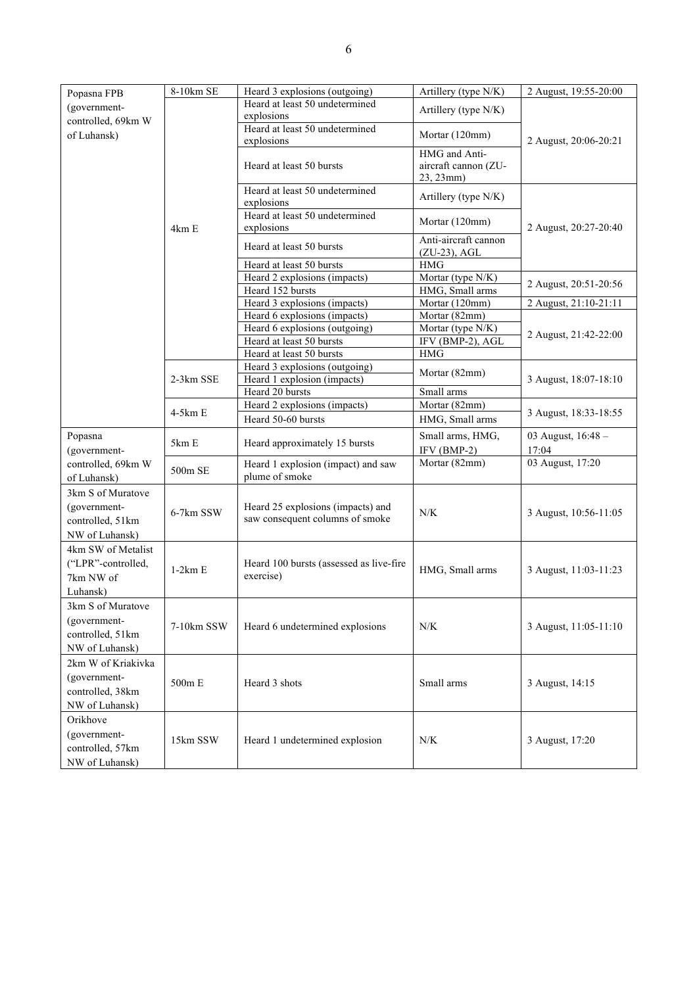| Popasna FPB                       | 8-10km SE  | Heard 3 explosions (outgoing)                        | Artillery (type N/K)                                                                                                                                                                                                                                                                                                                                                                                                                                                               | 2 August, 19:55-20:00 |
|-----------------------------------|------------|------------------------------------------------------|------------------------------------------------------------------------------------------------------------------------------------------------------------------------------------------------------------------------------------------------------------------------------------------------------------------------------------------------------------------------------------------------------------------------------------------------------------------------------------|-----------------------|
| (government-                      |            | Heard at least 50 undetermined                       |                                                                                                                                                                                                                                                                                                                                                                                                                                                                                    |                       |
| controlled, 69km W                |            | explosions                                           | Artillery (type N/K)                                                                                                                                                                                                                                                                                                                                                                                                                                                               |                       |
| of Luhansk)                       |            | Heard at least 50 undetermined<br>explosions         | Mortar (120mm)                                                                                                                                                                                                                                                                                                                                                                                                                                                                     |                       |
|                                   |            |                                                      | HMG and Anti-                                                                                                                                                                                                                                                                                                                                                                                                                                                                      |                       |
|                                   |            | Heard at least 50 bursts                             | 2 August, 20:06-20:21<br>aircraft cannon (ZU-<br>Artillery (type N/K)<br>Mortar (120mm)<br>2 August, 20:27-20:40<br>Anti-aircraft cannon<br>$(ZU-23)$ , AGL<br>2 August, 20:51-20:56<br>Mortar (120mm)<br>2 August, 21:10-21:11<br>Mortar (82mm)<br>2 August, 21:42-22:00<br>Mortar (82mm)<br>3 August, 18:07-18:10<br>Small arms<br>Mortar (82mm)<br>3 August, 18:33-18:55<br>Small arms, HMG,<br>03 August, 16:48 -<br>IFV (BMP-2)<br>17:04<br>Mortar (82mm)<br>03 August, 17:20 |                       |
|                                   |            |                                                      | 23, 23mm)                                                                                                                                                                                                                                                                                                                                                                                                                                                                          |                       |
|                                   | 4km E      | Heard at least 50 undetermined<br>explosions         |                                                                                                                                                                                                                                                                                                                                                                                                                                                                                    |                       |
|                                   |            | Heard at least 50 undetermined<br>explosions         |                                                                                                                                                                                                                                                                                                                                                                                                                                                                                    |                       |
|                                   |            |                                                      |                                                                                                                                                                                                                                                                                                                                                                                                                                                                                    |                       |
|                                   |            | Heard at least 50 bursts                             |                                                                                                                                                                                                                                                                                                                                                                                                                                                                                    |                       |
|                                   |            | Heard at least 50 bursts                             | $\rm HMG$                                                                                                                                                                                                                                                                                                                                                                                                                                                                          |                       |
|                                   |            | Heard 2 explosions (impacts)                         | Mortar (type N/K)                                                                                                                                                                                                                                                                                                                                                                                                                                                                  |                       |
|                                   |            | Heard 152 bursts                                     | HMG, Small arms                                                                                                                                                                                                                                                                                                                                                                                                                                                                    |                       |
|                                   |            | Heard 3 explosions (impacts)                         |                                                                                                                                                                                                                                                                                                                                                                                                                                                                                    |                       |
|                                   |            | Heard 6 explosions (impacts)                         |                                                                                                                                                                                                                                                                                                                                                                                                                                                                                    |                       |
|                                   |            | Heard 6 explosions (outgoing)                        | Mortar (type N/K)                                                                                                                                                                                                                                                                                                                                                                                                                                                                  |                       |
|                                   |            | Heard at least 50 bursts                             | IFV (BMP-2), AGL                                                                                                                                                                                                                                                                                                                                                                                                                                                                   |                       |
|                                   |            | Heard at least 50 bursts                             | <b>HMG</b>                                                                                                                                                                                                                                                                                                                                                                                                                                                                         |                       |
|                                   |            | Heard 3 explosions (outgoing)                        |                                                                                                                                                                                                                                                                                                                                                                                                                                                                                    |                       |
|                                   | 2-3km SSE  | Heard 1 explosion (impacts)                          |                                                                                                                                                                                                                                                                                                                                                                                                                                                                                    |                       |
|                                   |            | Heard 20 bursts                                      |                                                                                                                                                                                                                                                                                                                                                                                                                                                                                    |                       |
|                                   |            | Heard 2 explosions (impacts)                         |                                                                                                                                                                                                                                                                                                                                                                                                                                                                                    |                       |
|                                   | $4-5km E$  | Heard 50-60 bursts                                   | HMG, Small arms                                                                                                                                                                                                                                                                                                                                                                                                                                                                    |                       |
| Popasna                           | 5km E      | Heard approximately 15 bursts                        |                                                                                                                                                                                                                                                                                                                                                                                                                                                                                    |                       |
| (government-                      |            |                                                      |                                                                                                                                                                                                                                                                                                                                                                                                                                                                                    |                       |
| controlled, 69km W<br>of Luhansk) | 500m SE    | Heard 1 explosion (impact) and saw<br>plume of smoke |                                                                                                                                                                                                                                                                                                                                                                                                                                                                                    |                       |
| 3km S of Muratove                 |            |                                                      |                                                                                                                                                                                                                                                                                                                                                                                                                                                                                    |                       |
| (government-                      |            | Heard 25 explosions (impacts) and                    |                                                                                                                                                                                                                                                                                                                                                                                                                                                                                    |                       |
| controlled, 51km                  | 6-7km SSW  | saw consequent columns of smoke                      | N/K                                                                                                                                                                                                                                                                                                                                                                                                                                                                                | 3 August, 10:56-11:05 |
| NW of Luhansk)                    |            |                                                      |                                                                                                                                                                                                                                                                                                                                                                                                                                                                                    |                       |
|                                   |            |                                                      |                                                                                                                                                                                                                                                                                                                                                                                                                                                                                    |                       |
| 4km SW of Metalist                |            |                                                      |                                                                                                                                                                                                                                                                                                                                                                                                                                                                                    |                       |
| ("LPR"-controlled,                | $1-2km E$  | Heard 100 bursts (assessed as live-fire              | HMG, Small arms                                                                                                                                                                                                                                                                                                                                                                                                                                                                    | 3 August, 11:03-11:23 |
| 7km NW of                         |            | exercise)                                            |                                                                                                                                                                                                                                                                                                                                                                                                                                                                                    |                       |
| Luhansk)                          |            |                                                      |                                                                                                                                                                                                                                                                                                                                                                                                                                                                                    |                       |
| 3km S of Muratove                 |            |                                                      |                                                                                                                                                                                                                                                                                                                                                                                                                                                                                    |                       |
| (government-                      | 7-10km SSW | Heard 6 undetermined explosions                      | N/K                                                                                                                                                                                                                                                                                                                                                                                                                                                                                | 3 August, 11:05-11:10 |
| controlled, 51km                  |            |                                                      |                                                                                                                                                                                                                                                                                                                                                                                                                                                                                    |                       |
| NW of Luhansk)                    |            |                                                      |                                                                                                                                                                                                                                                                                                                                                                                                                                                                                    |                       |
| 2km W of Kriakivka                |            |                                                      |                                                                                                                                                                                                                                                                                                                                                                                                                                                                                    |                       |
| (government-                      |            |                                                      |                                                                                                                                                                                                                                                                                                                                                                                                                                                                                    |                       |
| controlled, 38km                  | 500m E     | Heard 3 shots                                        | Small arms                                                                                                                                                                                                                                                                                                                                                                                                                                                                         | 3 August, 14:15       |
|                                   |            |                                                      |                                                                                                                                                                                                                                                                                                                                                                                                                                                                                    |                       |
| NW of Luhansk)                    |            |                                                      |                                                                                                                                                                                                                                                                                                                                                                                                                                                                                    |                       |
| Orikhove                          |            |                                                      |                                                                                                                                                                                                                                                                                                                                                                                                                                                                                    |                       |
| (government-                      | 15km SSW   | Heard 1 undetermined explosion                       | $N\!/\!K$                                                                                                                                                                                                                                                                                                                                                                                                                                                                          | 3 August, 17:20       |
| controlled, 57km                  |            |                                                      |                                                                                                                                                                                                                                                                                                                                                                                                                                                                                    |                       |
| NW of Luhansk)                    |            |                                                      |                                                                                                                                                                                                                                                                                                                                                                                                                                                                                    |                       |